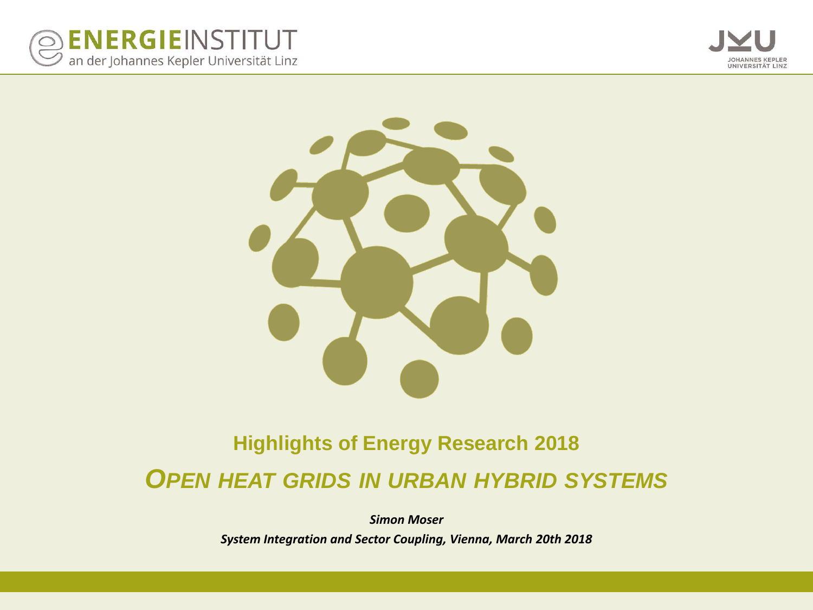





#### **Highlights of Energy Research 2018** *OPEN HEAT GRIDS IN URBAN HYBRID SYSTEMS*

*Simon Moser System Integration and Sector Coupling, Vienna, March 20th 2018*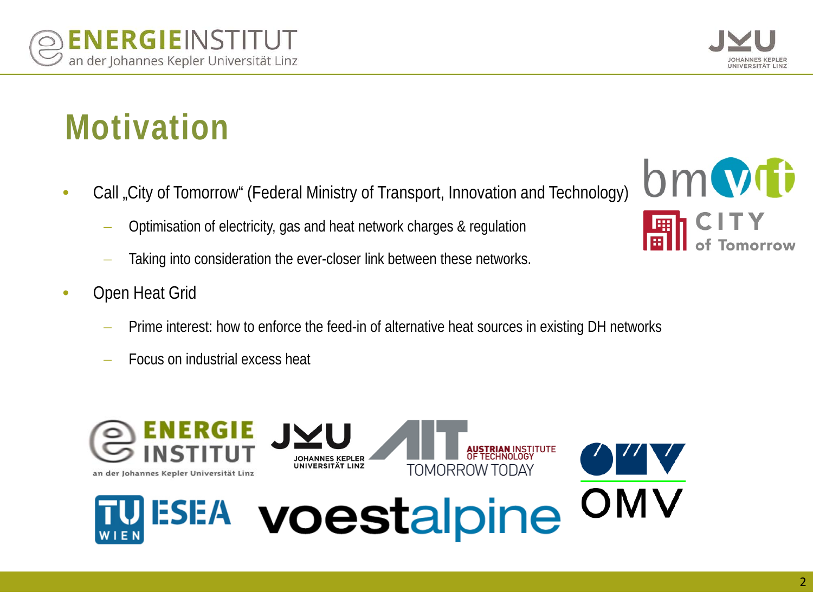# **Motivation**

- Call "City of Tomorrow" (Federal Ministry of Transport, Innovation and Technology)
	- − Optimisation of electricity, gas and heat network charges & regulation
	- Taking into consideration the ever-closer link between these networks.
- Open Heat Grid
	- Prime interest: how to enforce the feed-in of alternative heat sources in existing DH networks
	- Focus on industrial excess heat





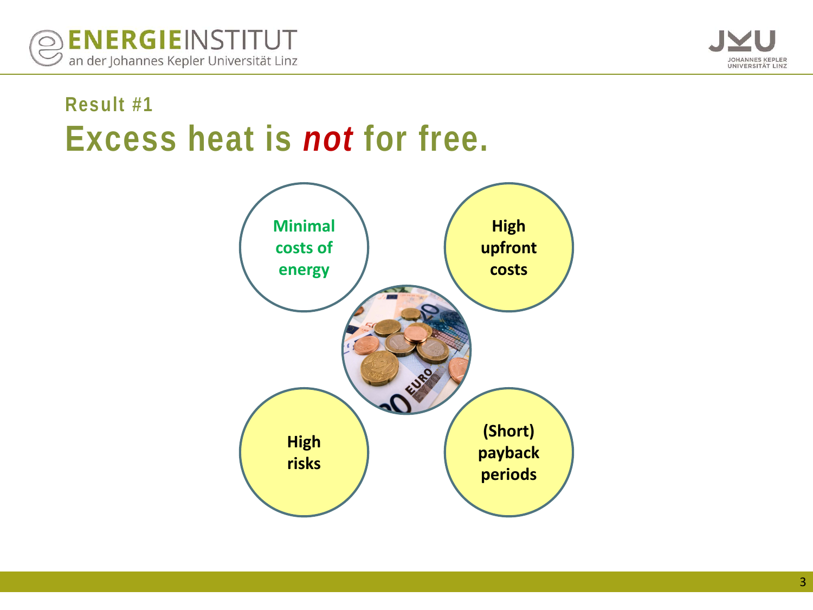



#### **Result #1 Excess heat is** *not* **for free.**

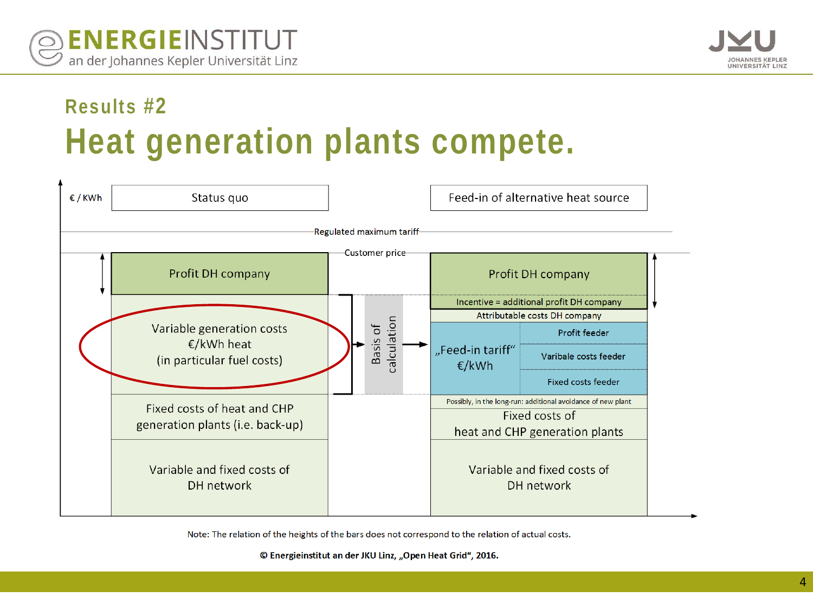

### **Results #2 Heat generation plants compete.**

| €/KWh                    | Status quo                                                            |                  |  |                         |                                |                                                              | Feed-in of alternative heat source        |  |
|--------------------------|-----------------------------------------------------------------------|------------------|--|-------------------------|--------------------------------|--------------------------------------------------------------|-------------------------------------------|--|
| Regulated maximum tariff |                                                                       |                  |  |                         |                                |                                                              |                                           |  |
|                          | Profit DH company                                                     | -Customer price- |  |                         | Profit DH company              |                                                              |                                           |  |
|                          | Variable generation costs<br>€/kWh heat<br>(in particular fuel costs) |                  |  |                         |                                | Incentive = additional profit DH company                     |                                           |  |
|                          |                                                                       |                  |  |                         |                                | Attributable costs DH company                                |                                           |  |
|                          |                                                                       |                  |  |                         |                                |                                                              | Profit feeder                             |  |
|                          |                                                                       |                  |  | calculation<br>Basis of |                                | "Feed-in tariff"<br>€/kWh                                    | Varibale costs feeder                     |  |
|                          |                                                                       |                  |  |                         |                                |                                                              | Fixed costs feeder                        |  |
|                          | Fixed costs of heat and CHP<br>generation plants (i.e. back-up)       |                  |  |                         |                                | Possibly, in the long-run: additional avoidance of new plant |                                           |  |
|                          |                                                                       |                  |  |                         |                                | Fixed costs of                                               |                                           |  |
|                          |                                                                       |                  |  |                         | heat and CHP generation plants |                                                              |                                           |  |
|                          | Variable and fixed costs of<br>DH network                             |                  |  |                         |                                |                                                              | Variable and fixed costs of<br>DH network |  |

Note: The relation of the heights of the bars does not correspond to the relation of actual costs.

© Energieinstitut an der JKU Linz, "Open Heat Grid", 2016.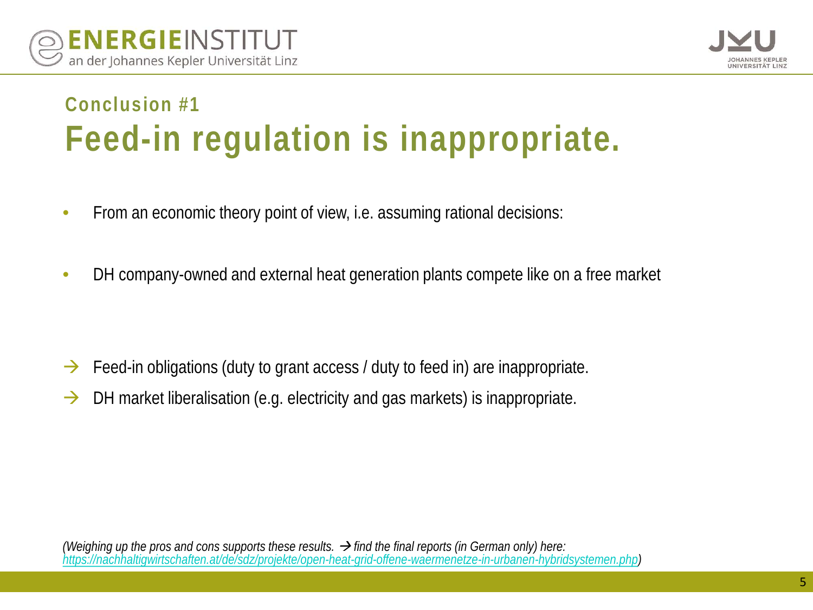



#### **Conclusion #1 Feed-in regulation is inappropriate.**

- From an economic theory point of view, i.e. assuming rational decisions:
- DH company-owned and external heat generation plants compete like on a free market

- $\rightarrow$  Feed-in obligations (duty to grant access / duty to feed in) are inappropriate.
- $\rightarrow$  DH market liberalisation (e.g. electricity and gas markets) is inappropriate.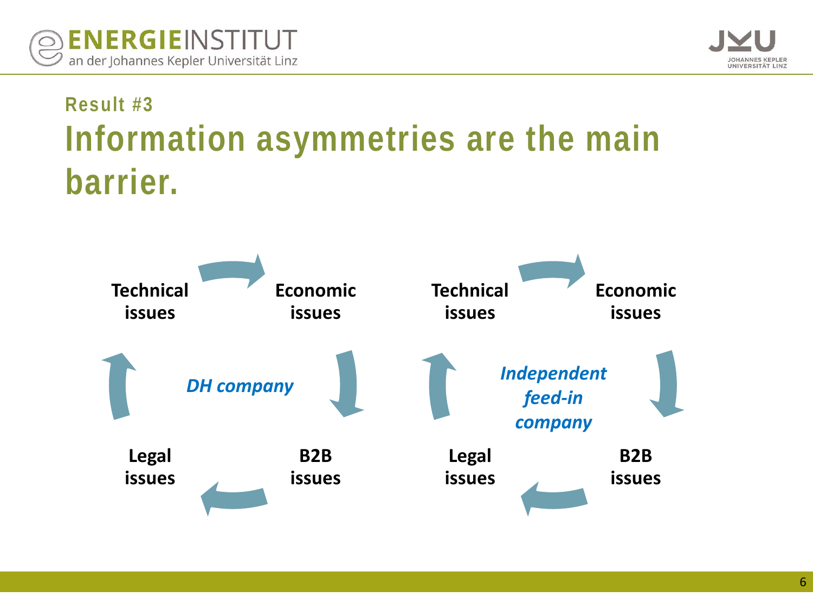



## **Result #3 Information asymmetries are the main barrier.**

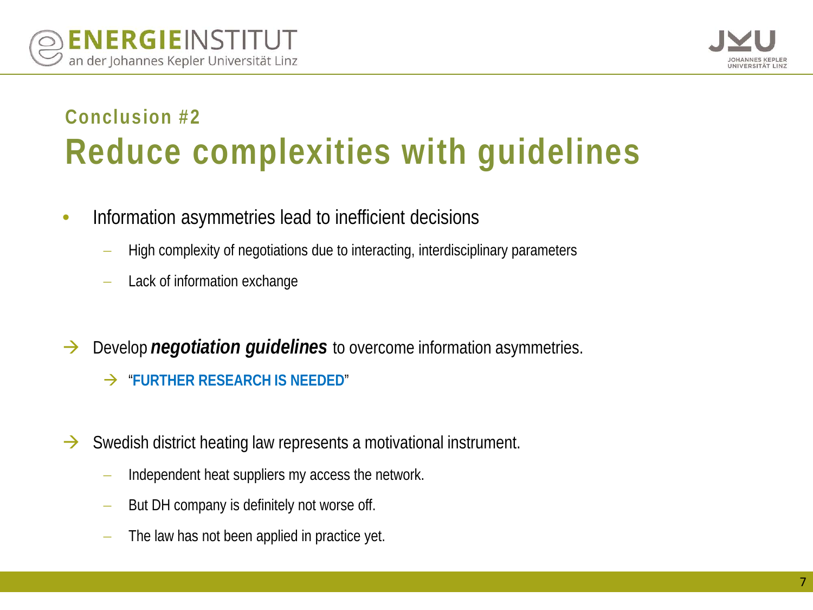

### **Conclusion #2 Reduce complexities with guidelines**

- Information asymmetries lead to inefficient decisions
	- − High complexity of negotiations due to interacting, interdisciplinary parameters
	- Lack of information exchange
- → Develop *negotiation quidelines* to overcome information asymmetries.
	- "**FURTHER RESEARCH IS NEEDED**"
- $\rightarrow$  Swedish district heating law represents a motivational instrument.
	- − Independent heat suppliers my access the network.
	- − But DH company is definitely not worse off.
	- The law has not been applied in practice yet.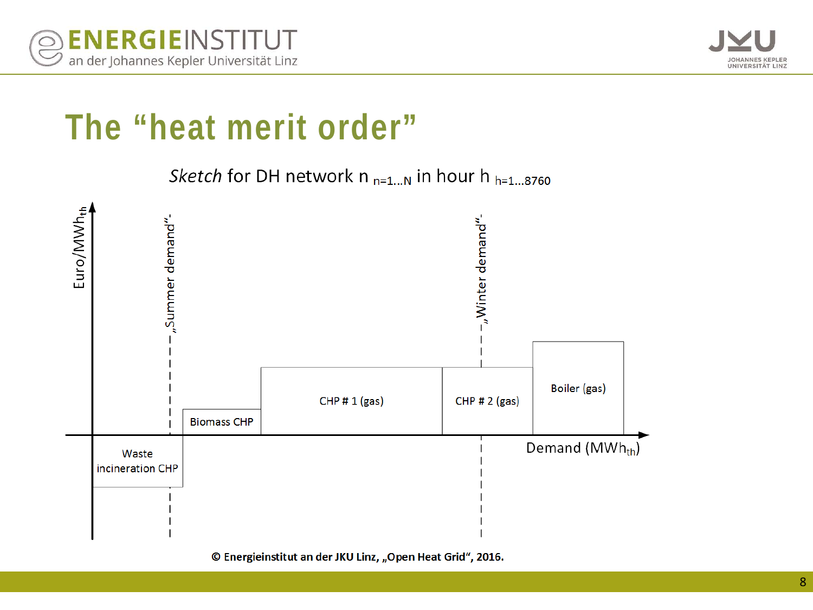



## **The "heat merit order"**

Sketch for DH network  $n_{n=1...N}$  in hour h  $_{h=1...8760}$ 



© Energieinstitut an der JKU Linz, "Open Heat Grid", 2016.